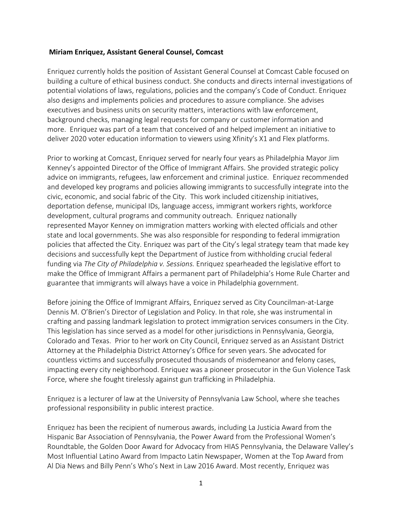## **Miriam Enriquez, Assistant General Counsel, Comcast**

Enriquez currently holds the position of Assistant General Counsel at Comcast Cable focused on building a culture of ethical business conduct. She conducts and directs internal investigations of potential violations of laws, regulations, policies and the company's Code of Conduct. Enriquez also designs and implements policies and procedures to assure compliance. She advises executives and business units on security matters, interactions with law enforcement, background checks, managing legal requests for company or customer information and more. Enriquez was part of a team that conceived of and helped implement an initiative to deliver 2020 voter education information to viewers using Xfinity's X1 and Flex platforms.

Prior to working at Comcast, Enriquez served for nearly four years as Philadelphia Mayor Jim Kenney's appointed Director of the Office of Immigrant Affairs. She provided strategic policy advice on immigrants, refugees, law enforcement and criminal justice. Enriquez recommended and developed key programs and policies allowing immigrants to successfully integrate into the civic, economic, and social fabric of the City. This work included citizenship initiatives, deportation defense, municipal IDs, language access, immigrant workers rights, workforce development, cultural programs and community outreach. Enriquez nationally represented Mayor Kenney on immigration matters working with elected officials and other state and local governments. She was also responsible for responding to federal immigration policies that affected the City. Enriquez was part of the City's legal strategy team that made key decisions and successfully kept the Department of Justice from withholding crucial federal funding via *The City of Philadelphia v. Sessions.* Enriquez spearheaded the legislative effort to make the Office of Immigrant Affairs a permanent part of Philadelphia's Home Rule Charter and guarantee that immigrants will always have a voice in Philadelphia government.

Before joining the Office of Immigrant Affairs, Enriquez served as City Councilman-at-Large Dennis M. O'Brien's Director of Legislation and Policy. In that role, she was instrumental in crafting and passing landmark legislation to protect immigration services consumers in the City. This legislation has since served as a model for other jurisdictions in Pennsylvania, Georgia, Colorado and Texas. Prior to her work on City Council, Enriquez served as an Assistant District Attorney at the Philadelphia District Attorney's Office for seven years. She advocated for countless victims and successfully prosecuted thousands of misdemeanor and felony cases, impacting every city neighborhood. Enriquez was a pioneer prosecutor in the Gun Violence Task Force, where she fought tirelessly against gun trafficking in Philadelphia.

Enriquez is a lecturer of law at the University of Pennsylvania Law School, where she teaches professional responsibility in public interest practice.

Enriquez has been the recipient of numerous awards, including La Justicia Award from the Hispanic Bar Association of Pennsylvania, the Power Award from the Professional Women's Roundtable, the Golden Door Award for Advocacy from HIAS Pennsylvania, the Delaware Valley's Most Influential Latino Award from Impacto Latin Newspaper, Women at the Top Award from Al Dia News and Billy Penn's Who's Next in Law 2016 Award. Most recently, Enriquez was